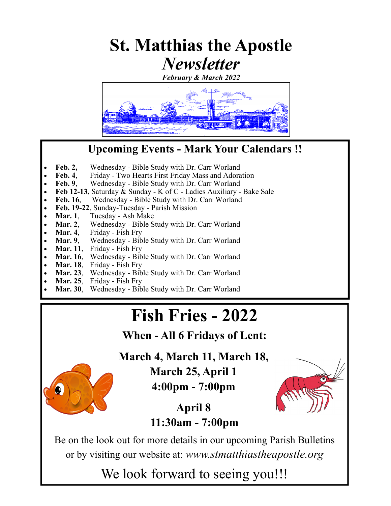# **St. Matthias the Apostle**  *Newsletter*

*February & March 2022* 



### **Upcoming Events - Mark Your Calendars !!**

- Feb. 2, Wednesday Bible Study with Dr. Carr Worland
- **Feb. 4**, Friday Two Hearts First Friday Mass and Adoration
- **Feb. 9.** Wednesday Bible Study with Dr. Carr Worland
- **Feb 12-13,** Saturday & Sunday K of C Ladies Auxiliary Bake Sale
- Feb. 16, Wednesday Bible Study with Dr. Carr Worland
- **Feb. 19-22**, Sunday-Tuesday Parish Mission
- Mar. 1, Tuesday Ash Make
- Mar. 2, Wednesday Bible Study with Dr. Carr Worland
- Mar. 4, Friday Fish Fry
- **Mar. 9**, Wednesday Bible Study with Dr. Carr Worland
- **Mar. 11**, Friday Fish Fry
- Mar. 16, Wednesday Bible Study with Dr. Carr Worland
- **Mar. 18**, Friday Fish Fry
- **Mar. 23**, Wednesday Bible Study with Dr. Carr Worland
- **Mar. 25**, Friday Fish Fry
- **Mar. 30**, Wednesday Bible Study with Dr. Carr Worland

# **Fish Fries - 2022**

**When - All 6 Fridays of Lent:** 

**March 4, March 11, March 18,** 

**March 25, April 1** 

**4:00pm - 7:00pm** 



**April 8 11:30am - 7:00pm** 

Be on the look out for more details in our upcoming Parish Bulletins or by visiting our website at: *www.stmatthiastheapostle.org* 

We look forward to seeing you!!!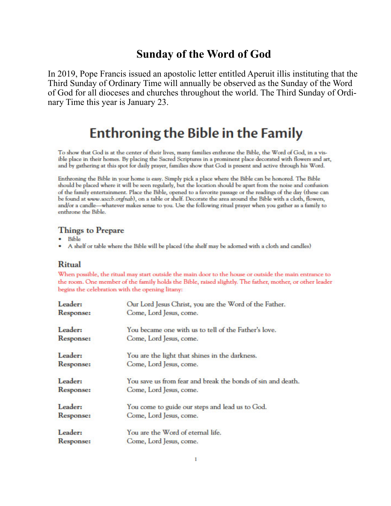### **Sunday of the Word of God**

In 2019, Pope Francis issued an apostolic letter entitled Aperuit illis instituting that the Third Sunday of Ordinary Time will annually be observed as the Sunday of the Word of God for all dioceses and churches throughout the world. The Third Sunday of Ordinary Time this year is January 23.

## **Enthroning the Bible in the Family**

To show that God is at the center of their lives, many families enthrone the Bible, the Word of God, in a visible place in their homes. By placing the Sacred Scriptures in a prominent place decorated with flowers and art, and by gathering at this spot for daily prayer, families show that God is present and active through his Word.

Enthroning the Bible in your home is easy. Simply pick a place where the Bible can be honored. The Bible should be placed where it will be seen regularly, but the location should be apart from the noise and confusion of the family entertainment. Place the Bible, opened to a favorite passage or the readings of the day (these can be found at www.usccb.org/nab), on a table or shelf. Decorate the area around the Bible with a cloth, flowers, and/or a candle—whatever makes sense to you. Use the following ritual prayer when you gather as a family to enthrone the Bible.

#### **Things to Prepare**

- **Bible**
- A shelf or table where the Bible will be placed (the shelf may be adorned with a cloth and candles)

#### **Ritual**

When possible, the ritual may start outside the main door to the house or outside the main entrance to the room. One member of the family holds the Bible, raised slightly. The father, mother, or other leader begins the celebration with the opening litany:

| Leader:          | Our Lord Jesus Christ, you are the Word of the Father.      |
|------------------|-------------------------------------------------------------|
| Response:        | Come, Lord Jesus, come.                                     |
| Leader:          | You became one with us to tell of the Father's love.        |
| <b>Response:</b> | Come, Lord Jesus, come.                                     |
| Leader:          | You are the light that shines in the darkness.              |
| <b>Response:</b> | Come, Lord Jesus, come.                                     |
| Leader:          | You save us from fear and break the bonds of sin and death. |
| Response:        | Come, Lord Jesus, come.                                     |
| Leader:          | You come to guide our steps and lead us to God.             |
| <b>Response:</b> | Come, Lord Jesus, come.                                     |
| Leader:          | You are the Word of eternal life.                           |
| Response:        | Come, Lord Jesus, come.                                     |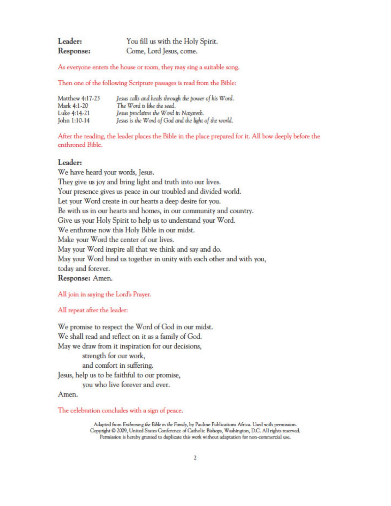| Leader:   | You fill us with the Holy Spirit. |
|-----------|-----------------------------------|
| Response: | Come, Lord Jesus, come.           |

As everyone enters the house or room, they may sing a suitable song.

Then one of the following Scripture passages is read from the Bible:

| Matthew 4:17-23 | Jesus calls and heals through the power of his Word. |
|-----------------|------------------------------------------------------|
| Mark 4:1-20     | The Word is like the seed.                           |
| Luke 4:14-21    | Jesus proclaims the Word in Nazareth.                |
| John 1:10-14    | Jesus is the Word of God and the light of the world. |

After the reading, the leader places the Bible in the place prepared for it. All bow deeply before the enthroned Bible.

#### Leader:

We have heard your words, Jesus. They give us joy and bring light and truth into our lives. Your presence gives us peace in our troubled and divided world. Let your Word create in our hearts a deep desire for you. Be with us in our hearts and homes, in our community and country. Give us your Holy Spirit to help us to understand your Word. We enthrone now this Holy Bible in our midst. Make your Word the center of our lives. May your Word inspire all that we think and say and do. May your Word bind us together in unity with each other and with you, today and forever. Response: Amen.

All join in saying the Lord's Prayer.

#### All repeat after the leader:

We promise to respect the Word of God in our midst. We shall read and reflect on it as a family of God. May we draw from it inspiration for our decisions, strength for our work. and comfort in suffering. Jesus, help us to be faithful to our promise, you who live forever and ever.

Amen.

The celebration concludes with a sign of peace.

Adapted from Enthroning the Bible in the Family, by Pauline Publications Africa. Used with permission. Copyright @ 2009, United States Conference of Catholic Bishops, Washington, D.C. All rights reserved. Permission is hereby granted to duplicate this work without adaptation for non-commercial use.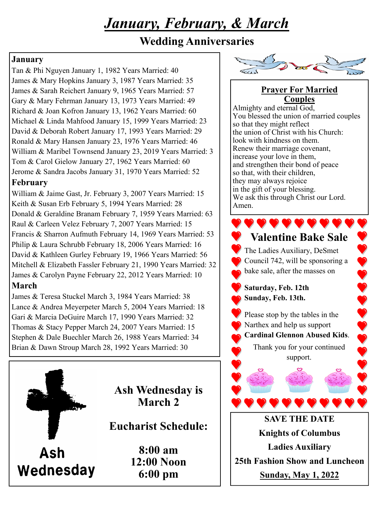# *January, February, & March*

### **Wedding Anniversaries**

### **January**

Tan & Phi Nguyen January 1, 1982 Years Married: 40 James & Mary Hopkins January 3, 1987 Years Married: 35 James & Sarah Reichert January 9, 1965 Years Married: 57 Gary & Mary Fehrman January 13, 1973 Years Married: 49 Richard & Joan Kofron January 13, 1962 Years Married: 60 Michael & Linda Mahfood January 15, 1999 Years Married: 23 David & Deborah Robert January 17, 1993 Years Married: 29 Ronald & Mary Hansen January 23, 1976 Years Married: 46 William & Maribel Townsend January 23, 2019 Years Married: 3 Tom & Carol Gielow January 27, 1962 Years Married: 60 Jerome & Sandra Jacobs January 31, 1970 Years Married: 52 **February** 

William & Jaime Gast, Jr. February 3, 2007 Years Married: 15 Keith & Susan Erb February 5, 1994 Years Married: 28 Donald & Geraldine Branam February 7, 1959 Years Married: 63 Raul & Carleen Velez February 7, 2007 Years Married: 15 Francis & Sharron Aufmuth February 14, 1969 Years Married: 53 Philip & Laura Schrubb February 18, 2006 Years Married: 16 David & Kathleen Gurley February 19, 1966 Years Married: 56 Mitchell & Elizabeth Fassler February 21, 1990 Years Married: 32 James & Carolyn Payne February 22, 2012 Years Married: 10 **March** 

James & Teresa Stuckel March 3, 1984 Years Married: 38 Lance & Andrea Meyerpeter March 5, 2004 Years Married: 18 Gari & Marcia DeGuire March 17, 1990 Years Married: 32 Thomas & Stacy Pepper March 24, 2007 Years Married: 15 Stephen & Dale Buechler March 26, 1988 Years Married: 34 Brian & Dawn Stroup March 28, 1992 Years Married: 30



**Ash Wednesday is March 2** 

**Eucharist Schedule:** 

Wednesday

**8:00 am 12:00 Noon 6:00 pm** 



### **Prayer For Married Couples**

Almighty and eternal God, You blessed the union of married couples so that they might reflect the union of Christ with his Church: look with kindness on them. Renew their marriage covenant, increase your love in them, and strengthen their bond of peace so that, with their children, they may always rejoice in the gift of your blessing. We ask this through Christ our Lord. Amen.

## **Valentine Bake Sale**

2 V V V

The Ladies Auxiliary, DeSmet Council 742, will be sponsoring a bake sale, after the masses on

**Saturday, Feb. 12th Sunday, Feb. 13th.**

Please stop by the tables in the Narthex and help us support **Cardinal Glennon Abused Kids**. Thank you for your continued

support.

## **SAVE THE DATE Knights of Columbus Ladies Auxiliary 25th Fashion Show and Luncheon Sunday, May 1, 2022**